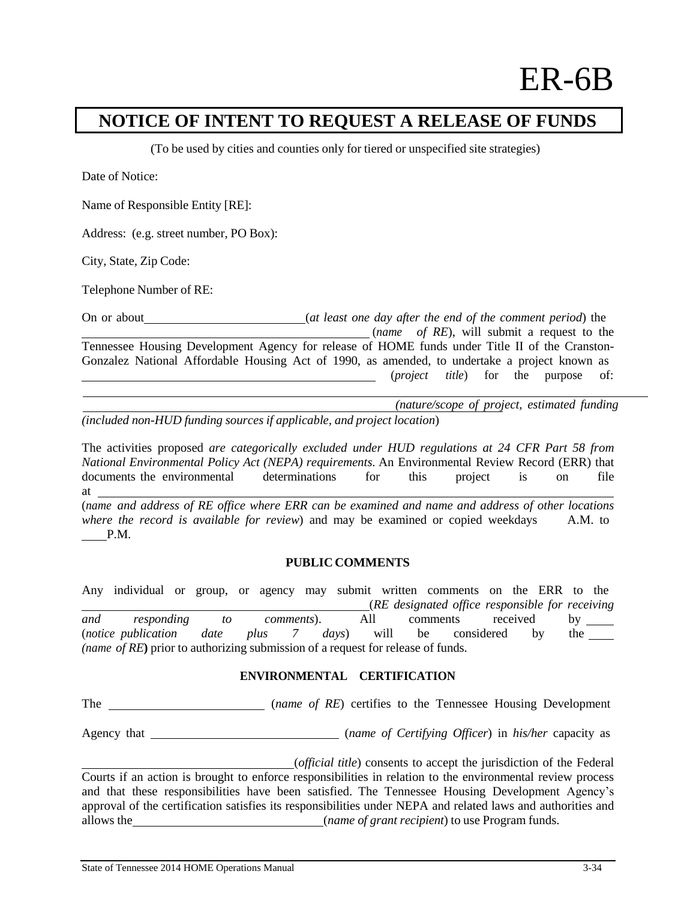## **NOTICE OF INTENT TO REQUEST A RELEASE OF FUNDS**

(To be used by cities and counties only for tiered or unspecified site strategies)

Date of Notice:

Name of Responsible Entity [RE]:

Address: (e.g. street number, PO Box):

City, State, Zip Code:

Telephone Number of RE:

On or about (*at least one day after the end of the comment period*) the (*name of RE*), will submit a request to the Tennessee Housing Development Agency for release of HOME funds under Title II of the Cranston-Gonzalez National Affordable Housing Act of 1990, as amended, to undertake a project known as (*project title*) for the purpose of: <u> 1990 - Johann Barnett, f</u>

*(nature/scope of project, estimated funding (included non-HUD funding sources if applicable, and project location*)

The activities proposed *are categorically excluded under HUD regulations at 24 CFR Part 58 from National Environmental Policy Act (NEPA) requirements.* An Environmental Review Record (ERR) that documents the environmental determinations for this project is on file at (*name and address of RE office where ERR can be examined and name and address of other locations where the record is available for review*) and may be examined or copied weekdays A.M. to

P.M.

## **PUBLIC COMMENTS**

Any individual or group, or agency may submit written comments on the ERR to the (*RE designated office responsible for receiving and responding to comments*). All comments received by (*notice publication date plus 7 days*) will be considered by the *(name of RE***)** prior to authorizing submission of a request for release of funds.

## **ENVIRONMENTAL CERTIFICATION**

The (*name of RE*) certifies to the Tennessee Housing Development

Agency that (*name of Certifying Officer*) in *his/her* capacity as

(*official title*) consents to accept the jurisdiction of the Federal Courts if an action is brought to enforce responsibilities in relation to the environmental review process and that these responsibilities have been satisfied. The Tennessee Housing Development Agency's approval of the certification satisfies its responsibilities under NEPA and related laws and authorities and allows the (*name of grant recipient*) to use Program funds.